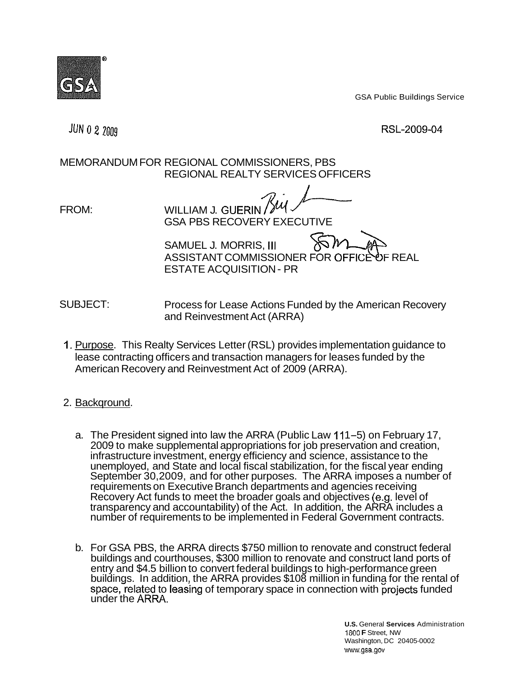

GSA Public Buildings Service

**JUN 0 2 2009** 

RSL-2009-04

## MEMORANDUM FOR REGIONAL COMMISSIONERS, PBS REGIONAL REALTY SERVICES OFFICERS

FROM: WILLIAM J. GUERIN ZU

GSA PBS RECOVERY EXECUTIVE

SAMUEL J. MORRIS, III ASSISTANT COMMISSIONER FOR OFFICÈ OF REAL ESTATE ACQUISITION - PR

SUBJECT: Process for Lease Actions Funded by the American Recovery and Reinvestment Act (ARRA)

- 1. Purpose. This Realty Services Letter (RSL) provides implementation guidance to lease contracting officers and transaction managers for leases funded by the American Recovery and Reinvestment Act of 2009 (ARRA).
- 2. Backqround.
	- a. The President signed into law the ARRA (Public Law 111-5) on February 17, Recovery Act funds to meet the broader goals and objectives (e.g. level of 2009 to make supplemental appropriations for job preservation and creation, infrastructure investment, energy efficiency and science, assistance to the unemployed, and State and local fiscal stabilization, for the fiscal year ending September 30,2009, and for other purposes. The ARRA imposes a number of requirements on Executive Branch departments and agencies receiving transparency and accountability) of the Act. In addition, the ARRA includes a number of requirements to be implemented in Federal Government contracts.
	- space, related to leasing of temporary space in connection with projects funded under the ARRA. b. For GSA PBS, the ARRA directs \$750 million to renovate and construct federal buildings and courthouses, \$300 million to renovate and construct land ports of entry and \$4.5 billion to convert federal buildings to high-performance green buildings. In addition, the ARRA provides \$108 million in funding for the rental of

1800 **F** Street, NW www.gsa.gov **U.S.** General **Services** Administration Washington, DC 20405-0002